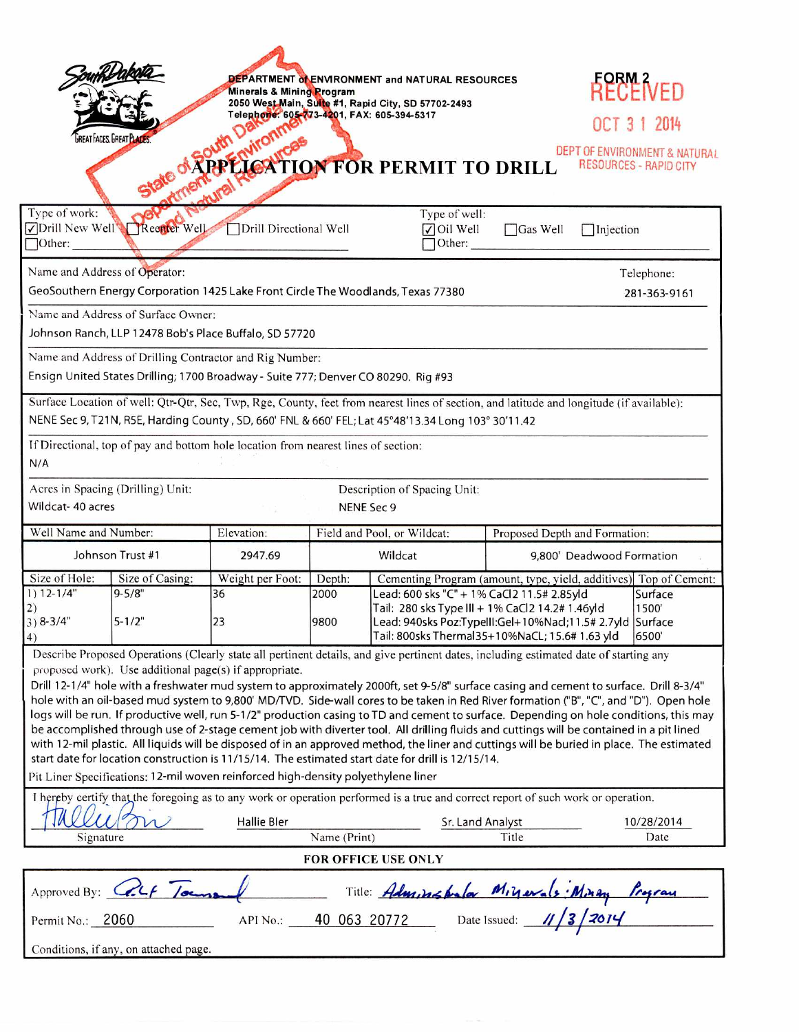| Type of work:<br>$\Box$ Other:                                                                                                                                                                                                                                                                                                                                                                                                                                                                                                                                                                                                                                                                                                                                                                                                                                                                                                                                        | <b>GREAT FACES. GREAT PLACES</b><br>Drill New Well Reenter Well | Minerals & Mining Program<br>Telephone: 605-773-4201, FAX: 605-394-5317<br>Drill Directional Well |                        | DEPARTMENT OLENVIRONMENT and NATURAL RESOURCES<br>2050 West Main, Suite #1, Rapid City, SD 57702-2493<br><b>PPELCATION FOR PERMIT TO DRILL</b><br>Type of well:<br>$\sqrt{\frac{1}{1}}$ Oil Well<br>Other:                                                                                                   | $\Box$ Gas Well               | RECENED<br>OCT 3 1 2014<br>DEPT OF ENVIRONMENT & NATURAL<br><b>RESOURCES - RAPID CITY</b><br>$\Box$ Injection |  |
|-----------------------------------------------------------------------------------------------------------------------------------------------------------------------------------------------------------------------------------------------------------------------------------------------------------------------------------------------------------------------------------------------------------------------------------------------------------------------------------------------------------------------------------------------------------------------------------------------------------------------------------------------------------------------------------------------------------------------------------------------------------------------------------------------------------------------------------------------------------------------------------------------------------------------------------------------------------------------|-----------------------------------------------------------------|---------------------------------------------------------------------------------------------------|------------------------|--------------------------------------------------------------------------------------------------------------------------------------------------------------------------------------------------------------------------------------------------------------------------------------------------------------|-------------------------------|---------------------------------------------------------------------------------------------------------------|--|
| Name and Address of Operator:<br>Telephone:                                                                                                                                                                                                                                                                                                                                                                                                                                                                                                                                                                                                                                                                                                                                                                                                                                                                                                                           |                                                                 |                                                                                                   |                        |                                                                                                                                                                                                                                                                                                              |                               |                                                                                                               |  |
| GeoSouthern Energy Corporation 1425 Lake Front Circle The Woodlands, Texas 77380                                                                                                                                                                                                                                                                                                                                                                                                                                                                                                                                                                                                                                                                                                                                                                                                                                                                                      |                                                                 |                                                                                                   |                        |                                                                                                                                                                                                                                                                                                              |                               | 281-363-9161                                                                                                  |  |
| Name and Address of Surface Owner:                                                                                                                                                                                                                                                                                                                                                                                                                                                                                                                                                                                                                                                                                                                                                                                                                                                                                                                                    |                                                                 |                                                                                                   |                        |                                                                                                                                                                                                                                                                                                              |                               |                                                                                                               |  |
| Johnson Ranch, LLP 12478 Bob's Place Buffalo, SD 57720                                                                                                                                                                                                                                                                                                                                                                                                                                                                                                                                                                                                                                                                                                                                                                                                                                                                                                                |                                                                 |                                                                                                   |                        |                                                                                                                                                                                                                                                                                                              |                               |                                                                                                               |  |
| Name and Address of Drilling Contractor and Rig Number:                                                                                                                                                                                                                                                                                                                                                                                                                                                                                                                                                                                                                                                                                                                                                                                                                                                                                                               |                                                                 |                                                                                                   |                        |                                                                                                                                                                                                                                                                                                              |                               |                                                                                                               |  |
| Ensign United States Drilling; 1700 Broadway - Suite 777; Denver CO 80290. Rig #93                                                                                                                                                                                                                                                                                                                                                                                                                                                                                                                                                                                                                                                                                                                                                                                                                                                                                    |                                                                 |                                                                                                   |                        |                                                                                                                                                                                                                                                                                                              |                               |                                                                                                               |  |
| Surface Location of well: Qtr-Qtr, Sec, Twp, Rge, County, feet from nearest lines of section, and latitude and longitude (if available):<br>NENE Sec 9, T21N, R5E, Harding County, SD, 660' FNL & 660' FEL; Lat 45°48'13.34 Long 103° 30'11.42<br>If Directional, top of pay and bottom hole location from nearest lines of section:<br>N/A                                                                                                                                                                                                                                                                                                                                                                                                                                                                                                                                                                                                                           |                                                                 |                                                                                                   |                        |                                                                                                                                                                                                                                                                                                              |                               |                                                                                                               |  |
| Acres in Spacing (Drilling) Unit:<br>Description of Spacing Unit:                                                                                                                                                                                                                                                                                                                                                                                                                                                                                                                                                                                                                                                                                                                                                                                                                                                                                                     |                                                                 |                                                                                                   |                        |                                                                                                                                                                                                                                                                                                              |                               |                                                                                                               |  |
| Wildcat- 40 acres<br>NENE Sec 9                                                                                                                                                                                                                                                                                                                                                                                                                                                                                                                                                                                                                                                                                                                                                                                                                                                                                                                                       |                                                                 |                                                                                                   |                        |                                                                                                                                                                                                                                                                                                              |                               |                                                                                                               |  |
| Well Name and Number:                                                                                                                                                                                                                                                                                                                                                                                                                                                                                                                                                                                                                                                                                                                                                                                                                                                                                                                                                 | Elevation:                                                      | Field and Pool, or Wildcat:                                                                       |                        |                                                                                                                                                                                                                                                                                                              | Proposed Depth and Formation: |                                                                                                               |  |
| Johnson Trust #1                                                                                                                                                                                                                                                                                                                                                                                                                                                                                                                                                                                                                                                                                                                                                                                                                                                                                                                                                      |                                                                 | 2947.69                                                                                           | Wildcat                |                                                                                                                                                                                                                                                                                                              | 9,800' Deadwood Formation     |                                                                                                               |  |
| Size of Hole:<br>Size of Casing:                                                                                                                                                                                                                                                                                                                                                                                                                                                                                                                                                                                                                                                                                                                                                                                                                                                                                                                                      |                                                                 |                                                                                                   |                        |                                                                                                                                                                                                                                                                                                              |                               |                                                                                                               |  |
| $1) 12 - 1/4"$<br>2)<br>$3) 8 - 3/4"$<br>4)                                                                                                                                                                                                                                                                                                                                                                                                                                                                                                                                                                                                                                                                                                                                                                                                                                                                                                                           | $9 - 5/8"$<br>$5 - 1/2"$                                        | Weight per Foot:<br>36<br>23                                                                      | Depth:<br>2000<br>9800 | Cementing Program (amount, type, yield, additives) Top of Cement:<br>Lead: 600 sks "C" + 1% CaCl2 11.5# 2.85yld<br>Surface<br>Tail: 280 sks Type III + 1% CaCl2 14.2# 1.46yld<br>1500<br>Lead: 940sks Poz:TypeIII:Gel+10%Nacl;11.5# 2.7yld Surface<br>Tail: 800sks Thermal35+10%NaCL; 15.6# 1.63 yld<br>6500 |                               |                                                                                                               |  |
| Describe Proposed Operations (Clearly state all pertinent details, and give pertinent dates, including estimated date of starting any                                                                                                                                                                                                                                                                                                                                                                                                                                                                                                                                                                                                                                                                                                                                                                                                                                 |                                                                 |                                                                                                   |                        |                                                                                                                                                                                                                                                                                                              |                               |                                                                                                               |  |
| proposed work). Use additional page(s) if appropriate.<br>Drill 12-1/4" hole with a freshwater mud system to approximately 2000ft, set 9-5/8" surface casing and cement to surface. Drill 8-3/4"<br>hole with an oil-based mud system to 9,800' MD/TVD. Side-wall cores to be taken in Red River formation ("B", "C", and "D"). Open hole<br>logs will be run. If productive well, run 5-1/2" production casing to TD and cement to surface. Depending on hole conditions, this may<br>be accomplished through use of 2-stage cement job with diverter tool. All drilling fluids and cuttings will be contained in a pit lined<br>with 12-mil plastic. All liquids will be disposed of in an approved method, the liner and cuttings will be buried in place. The estimated<br>start date for location construction is 11/15/14. The estimated start date for drill is 12/15/14.<br>Pit Liner Specifications: 12-mil woven reinforced high-density polyethylene liner |                                                                 |                                                                                                   |                        |                                                                                                                                                                                                                                                                                                              |                               |                                                                                                               |  |
| I hereby certify that the foregoing as to any work or operation performed is a true and correct report of such work or operation.                                                                                                                                                                                                                                                                                                                                                                                                                                                                                                                                                                                                                                                                                                                                                                                                                                     |                                                                 |                                                                                                   |                        |                                                                                                                                                                                                                                                                                                              |                               |                                                                                                               |  |
|                                                                                                                                                                                                                                                                                                                                                                                                                                                                                                                                                                                                                                                                                                                                                                                                                                                                                                                                                                       |                                                                 | <b>Hallie Bler</b>                                                                                |                        | Sr. Land Analyst                                                                                                                                                                                                                                                                                             |                               | 10/28/2014                                                                                                    |  |
| Signature                                                                                                                                                                                                                                                                                                                                                                                                                                                                                                                                                                                                                                                                                                                                                                                                                                                                                                                                                             |                                                                 |                                                                                                   | Name (Print)           |                                                                                                                                                                                                                                                                                                              | Title                         | Date                                                                                                          |  |
| FOR OFFICE USE ONLY                                                                                                                                                                                                                                                                                                                                                                                                                                                                                                                                                                                                                                                                                                                                                                                                                                                                                                                                                   |                                                                 |                                                                                                   |                        |                                                                                                                                                                                                                                                                                                              |                               |                                                                                                               |  |
| Approved By: Colf Journ<br>Title: Adm, installer Migurals: Minon Program<br>40 063 20772 Date Issued: 11/3/2014                                                                                                                                                                                                                                                                                                                                                                                                                                                                                                                                                                                                                                                                                                                                                                                                                                                       |                                                                 |                                                                                                   |                        |                                                                                                                                                                                                                                                                                                              |                               |                                                                                                               |  |
| Permit No.: 2060<br>API No.:                                                                                                                                                                                                                                                                                                                                                                                                                                                                                                                                                                                                                                                                                                                                                                                                                                                                                                                                          |                                                                 |                                                                                                   |                        |                                                                                                                                                                                                                                                                                                              |                               |                                                                                                               |  |
|                                                                                                                                                                                                                                                                                                                                                                                                                                                                                                                                                                                                                                                                                                                                                                                                                                                                                                                                                                       | Conditions, if any, on attached page.                           |                                                                                                   |                        |                                                                                                                                                                                                                                                                                                              |                               |                                                                                                               |  |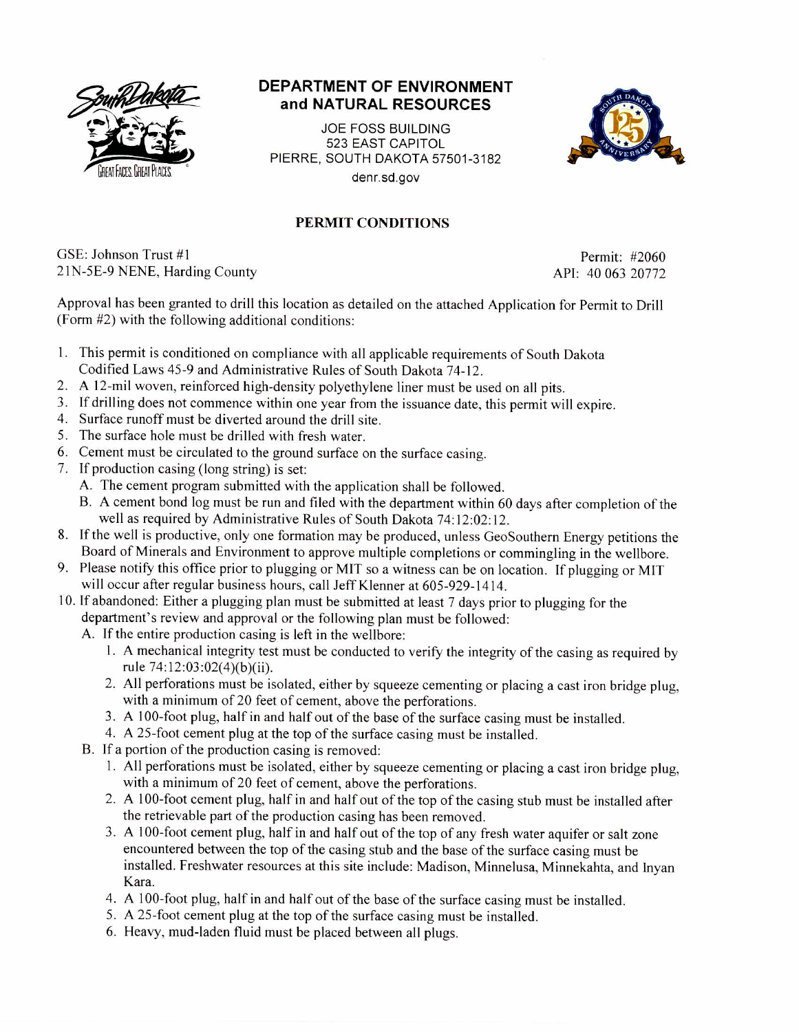

## **DEPARTMENT OF ENVIRONMENT and NATURAL RESOURCES**

JOE FOSS BUILDING 523 EAST CAPITOL PIERRE, SOUTH DAKOTA 57501-3182 denr.sd.gov



## **PERMIT CONDITIONS**

GSE: Johnson Trust #1 Permit: #2060 21N-5E-9 NENE, Harding County API: 40 063 20772

Approval has been granted to drill this location as detailed on the attached Application for Permit to Drill (Form #2) with the following additional conditions:

- 1. This permit is conditioned on compliance with all applicable requirements of South Dakota Codified Laws 45-9 and Administrative Rules of South Dakota 74-12.
- 2. A 12-mil woven, reinforced high-density polyethylene liner must be used on all pits.
- 3. If drilling does not commence within one year from the issuance date, this permit will expire.
- 4. Surface runoff must be diverted around the drill site.
- 5. The surface hole must be drilled with fresh water.
- 6. Cement must be circulated to the ground surface on the surface casing.
- 7. If production casing (long string) is set:
	- A. The cement program submitted with the application shall be followed.
	- B. A cement bond log must be run and filed with the department within 60 days after completion of the well as required by Administrative Rules of South Dakota 74:12:02:12.
- 8. If the well is productive, only one formation may be produced, unless GeoSouthern Energy petitions the Board of Minerals and Environment to approve multiple completions or commingling in the wellbore.
- 9. Please notify this office prior to plugging or MIT so a witness can be on location. If plugging or MIT will occur after regular business hours, call Jeff Klenner at 605-929-1414.
- 10. If abandoned: Either a plugging plan must be submitted at least 7 days prior to plugging for the department's review and approval or the following plan must be followed:
	- A. If the entire production casing is left in the wellbore:
		- 1. A mechanical integrity test must be conducted to verify the integrity of the casing as required by rule 74:12:03:02(4)(b)(ii).
		- 2. All perforations must be isolated, either by squeeze cementing or placing a cast iron bridge plug, with a minimum of 20 feet of cement, above the perforations.
		- 3. A 100-foot plug, half in and half out of the base of the surface casing must be installed.
		- 4. A 25-foot cement plug at the top of the surface casing must be installed.
	- B. If a portion of the production casing is removed:
		- 1. All perforations must be isolated, either by squeeze cementing or placing a cast iron bridge plug, with a minimum of 20 feet of cement, above the perforations.
		- 2. A 100-foot cement plug, half in and half out of the top of the casing stub must be installed after the retrievable part of the production casing has been removed.
		- 3. A 100-foot cement plug, half in and half out of the top of any fresh water aquifer or salt zone encountered between the top of the casing stub and the base of the surface casing must be installed. Freshwater resources at this site include: Madison, Minnelusa, Minnekahta, and Inyan Kara.
		- 4. A 100-foot plug, half in and half out of the base of the surface casing must be installed.
		- 5. A 25-foot cement plug at the top of the surface casing must be installed.
		- 6. Heavy, mud-laden fluid must be placed between all plugs.